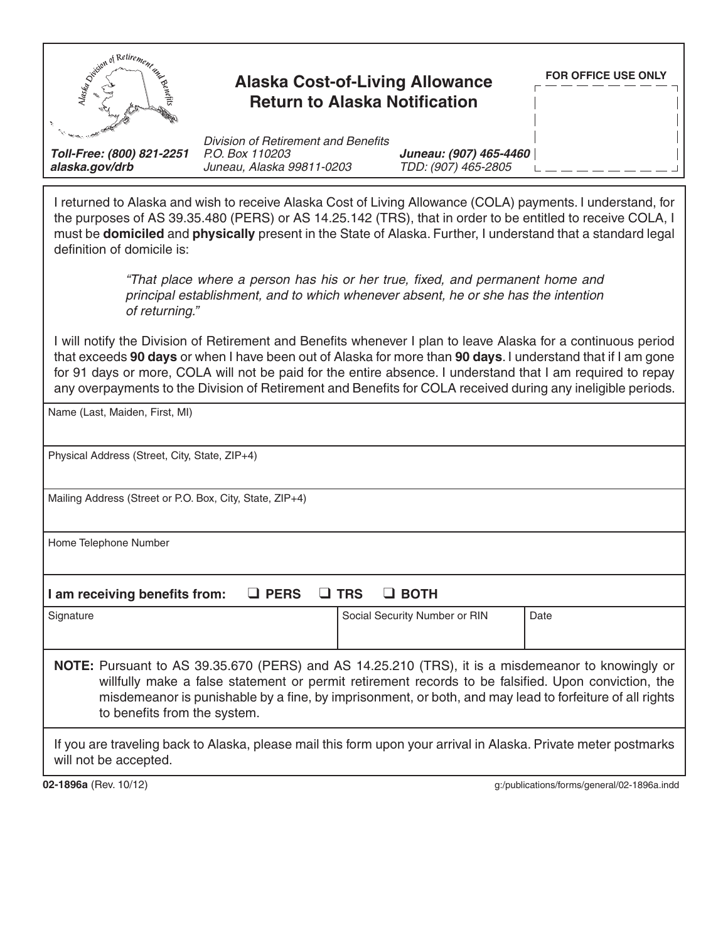| Simulation of Retirement                                                                                                                                                                                                                                                                                                                                                                                                                                     | <b>Alaska Cost-of-Living Allowance</b><br><b>Return to Alaska Notification</b>             |  |                                               | <b>FOR OFFICE USE ONLY</b>                  |
|--------------------------------------------------------------------------------------------------------------------------------------------------------------------------------------------------------------------------------------------------------------------------------------------------------------------------------------------------------------------------------------------------------------------------------------------------------------|--------------------------------------------------------------------------------------------|--|-----------------------------------------------|---------------------------------------------|
| Toll-Free: (800) 821-2251<br>alaska.gov/drb                                                                                                                                                                                                                                                                                                                                                                                                                  | <b>Division of Retirement and Benefits</b><br>P.O. Box 110203<br>Juneau, Alaska 99811-0203 |  | Juneau: (907) 465-4460<br>TDD: (907) 465-2805 |                                             |
| I returned to Alaska and wish to receive Alaska Cost of Living Allowance (COLA) payments. I understand, for<br>the purposes of AS 39.35.480 (PERS) or AS 14.25.142 (TRS), that in order to be entitled to receive COLA, I<br>must be domiciled and physically present in the State of Alaska. Further, I understand that a standard legal<br>definition of domicile is:                                                                                      |                                                                                            |  |                                               |                                             |
| "That place where a person has his or her true, fixed, and permanent home and<br>principal establishment, and to which whenever absent, he or she has the intention<br>of returning."                                                                                                                                                                                                                                                                        |                                                                                            |  |                                               |                                             |
| I will notify the Division of Retirement and Benefits whenever I plan to leave Alaska for a continuous period<br>that exceeds 90 days or when I have been out of Alaska for more than 90 days. I understand that if I am gone<br>for 91 days or more, COLA will not be paid for the entire absence. I understand that I am required to repay<br>any overpayments to the Division of Retirement and Benefits for COLA received during any ineligible periods. |                                                                                            |  |                                               |                                             |
| Name (Last, Maiden, First, MI)                                                                                                                                                                                                                                                                                                                                                                                                                               |                                                                                            |  |                                               |                                             |
|                                                                                                                                                                                                                                                                                                                                                                                                                                                              |                                                                                            |  |                                               |                                             |
| Physical Address (Street, City, State, ZIP+4)                                                                                                                                                                                                                                                                                                                                                                                                                |                                                                                            |  |                                               |                                             |
| Mailing Address (Street or P.O. Box, City, State, ZIP+4)                                                                                                                                                                                                                                                                                                                                                                                                     |                                                                                            |  |                                               |                                             |
| Home Telephone Number                                                                                                                                                                                                                                                                                                                                                                                                                                        |                                                                                            |  |                                               |                                             |
| I am receiving benefits from:<br>$\Box$ PERS<br><b>TRS</b><br>$\Box$ BOTH                                                                                                                                                                                                                                                                                                                                                                                    |                                                                                            |  |                                               |                                             |
| Signature                                                                                                                                                                                                                                                                                                                                                                                                                                                    |                                                                                            |  | Social Security Number or RIN                 | Date                                        |
| NOTE: Pursuant to AS 39.35.670 (PERS) and AS 14.25.210 (TRS), it is a misdemeanor to knowingly or<br>willfully make a false statement or permit retirement records to be falsified. Upon conviction, the<br>misdemeanor is punishable by a fine, by imprisonment, or both, and may lead to forfeiture of all rights<br>to benefits from the system.                                                                                                          |                                                                                            |  |                                               |                                             |
| If you are traveling back to Alaska, please mail this form upon your arrival in Alaska. Private meter postmarks<br>will not be accepted.                                                                                                                                                                                                                                                                                                                     |                                                                                            |  |                                               |                                             |
| 02-1896a (Rev. 10/12)                                                                                                                                                                                                                                                                                                                                                                                                                                        |                                                                                            |  |                                               | g:/publications/forms/general/02-1896a.indd |